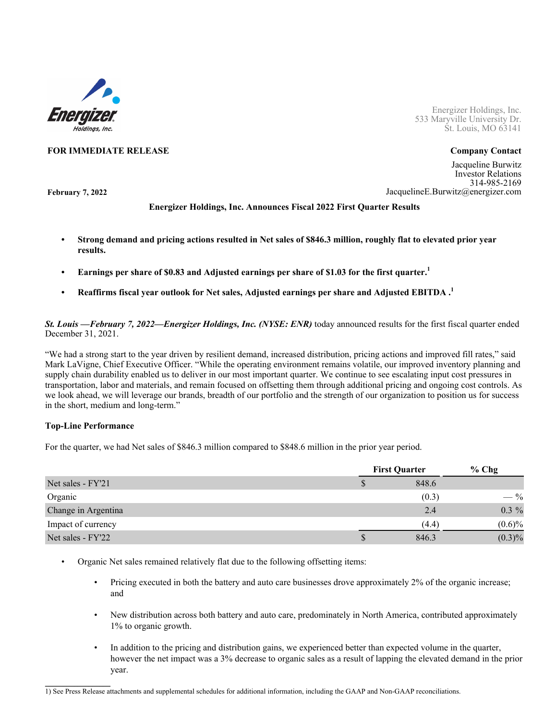

Energizer Holdings, Inc. 533 Maryville University Dr. St. Louis, MO 63141

#### **FOR IMMEDIATE RELEASE Company Contact**

**February 7, 2022**

Jacqueline Burwitz Investor Relations 314-985-2169 JacquelineE.Burwitz@energizer.com

### **Energizer Holdings, Inc. Announces Fiscal 2022 First Quarter Results**

- **• Strong demand and pricing actions resulted in Net sales of \$846.3 million, roughly flat to elevated prior year results.**
- **• Earnings per share of \$0.83 and Adjusted earnings per share of \$1.03 for the first quarter.<sup>1</sup>**
- **• Reaffirms fiscal year outlook for Net sales, Adjusted earnings per share and Adjusted EBITDA .<sup>1</sup>**

*St. Louis —February 7, 2022—Energizer Holdings, Inc. (NYSE: ENR)* today announced results for the first fiscal quarter ended December 31, 2021.

"We had a strong start to the year driven by resilient demand, increased distribution, pricing actions and improved fill rates," said Mark LaVigne, Chief Executive Officer. "While the operating environment remains volatile, our improved inventory planning and supply chain durability enabled us to deliver in our most important quarter. We continue to see escalating input cost pressures in transportation, labor and materials, and remain focused on offsetting them through additional pricing and ongoing cost controls. As we look ahead, we will leverage our brands, breadth of our portfolio and the strength of our organization to position us for success in the short, medium and long-term."

#### **Top-Line Performance**

 $\mathcal{L}=\mathcal{L}=\mathcal{L}=\mathcal{L}=\mathcal{L}=\mathcal{L}=\mathcal{L}=\mathcal{L}$ 

For the quarter, we had Net sales of \$846.3 million compared to \$848.6 million in the prior year period.

|                     | <b>First Quarter</b> |       | $%$ Chg         |
|---------------------|----------------------|-------|-----------------|
| Net sales - FY'21   |                      | 848.6 |                 |
| Organic             |                      | (0.3) | $- \frac{9}{6}$ |
| Change in Argentina |                      | 2.4   | $0.3\%$         |
| Impact of currency  |                      | (4.4) | $(0.6)\%$       |
| Net sales - FY'22   | Φ                    | 846.3 | $(0.3)\%$       |

- Organic Net sales remained relatively flat due to the following offsetting items:
	- Pricing executed in both the battery and auto care businesses drove approximately 2% of the organic increase; and
	- New distribution across both battery and auto care, predominately in North America, contributed approximately 1% to organic growth.
	- In addition to the pricing and distribution gains, we experienced better than expected volume in the quarter, however the net impact was a 3% decrease to organic sales as a result of lapping the elevated demand in the prior year.

<sup>1)</sup> See Press Release attachments and supplemental schedules for additional information, including the GAAP and Non-GAAP reconciliations.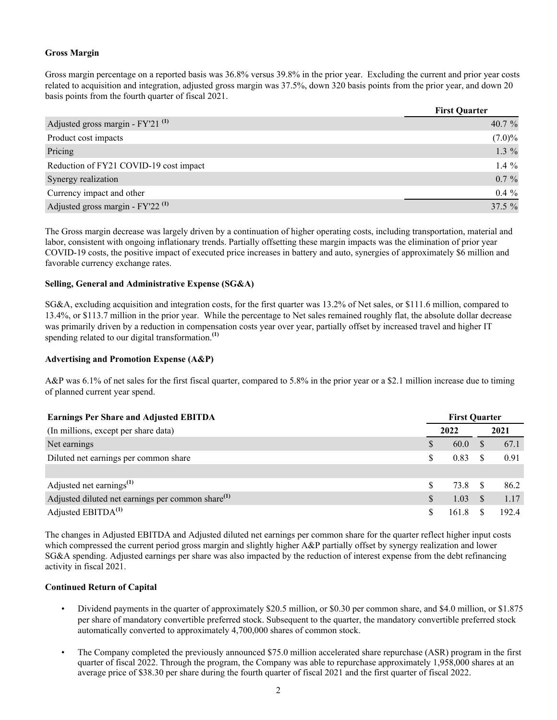## **Gross Margin**

Gross margin percentage on a reported basis was 36.8% versus 39.8% in the prior year. Excluding the current and prior year costs related to acquisition and integration, adjusted gross margin was 37.5%, down 320 basis points from the prior year, and down 20 basis points from the fourth quarter of fiscal 2021.

|                                                | <b>First Quarter</b> |
|------------------------------------------------|----------------------|
| Adjusted gross margin - FY'21 <sup>(1)</sup>   | 40.7 $%$             |
| Product cost impacts                           | $(7.0)\%$            |
| Pricing                                        | 1.3 $%$              |
| Reduction of FY21 COVID-19 cost impact         | 1.4 $%$              |
| Synergy realization                            | $0.7 \%$             |
| Currency impact and other                      | $0.4\%$              |
| Adjusted gross margin - $FY'22$ <sup>(1)</sup> | 37.5 %               |

The Gross margin decrease was largely driven by a continuation of higher operating costs, including transportation, material and labor, consistent with ongoing inflationary trends. Partially offsetting these margin impacts was the elimination of prior year COVID-19 costs, the positive impact of executed price increases in battery and auto, synergies of approximately \$6 million and favorable currency exchange rates.

#### **Selling, General and Administrative Expense (SG&A)**

SG&A, excluding acquisition and integration costs, for the first quarter was 13.2% of Net sales, or \$111.6 million, compared to 13.4%, or \$113.7 million in the prior year. While the percentage to Net sales remained roughly flat, the absolute dollar decrease was primarily driven by a reduction in compensation costs year over year, partially offset by increased travel and higher IT spending related to our digital transformation.**(1)**

## **Advertising and Promotion Expense (A&P)**

A&P was 6.1% of net sales for the first fiscal quarter, compared to 5.8% in the prior year or a \$2.1 million increase due to timing of planned current year spend.

| <b>Earnings Per Share and Adjusted EBITDA</b>                 | <b>First Quarter</b> |       |               |      |
|---------------------------------------------------------------|----------------------|-------|---------------|------|
| (In millions, except per share data)                          |                      | 2022  |               | 2021 |
| Net earnings                                                  |                      | 60.0  | S.            | 67.1 |
| Diluted net earnings per common share                         | S                    | 0.83  |               | 0.91 |
|                                                               |                      |       |               |      |
| Adjusted net earnings <sup>(1)</sup>                          | S                    | 73.8  |               | 86.2 |
| Adjusted diluted net earnings per common share <sup>(1)</sup> |                      | 1.03  | <sup>\$</sup> | 1.17 |
| Adjusted $EBITDA(1)$                                          |                      | 161.8 |               | 1924 |

The changes in Adjusted EBITDA and Adjusted diluted net earnings per common share for the quarter reflect higher input costs which compressed the current period gross margin and slightly higher A&P partially offset by synergy realization and lower SG&A spending. Adjusted earnings per share was also impacted by the reduction of interest expense from the debt refinancing activity in fiscal 2021.

#### **Continued Return of Capital**

- Dividend payments in the quarter of approximately \$20.5 million, or \$0.30 per common share, and \$4.0 million, or \$1.875 per share of mandatory convertible preferred stock. Subsequent to the quarter, the mandatory convertible preferred stock automatically converted to approximately 4,700,000 shares of common stock.
- The Company completed the previously announced \$75.0 million accelerated share repurchase (ASR) program in the first quarter of fiscal 2022. Through the program, the Company was able to repurchase approximately 1,958,000 shares at an average price of \$38.30 per share during the fourth quarter of fiscal 2021 and the first quarter of fiscal 2022.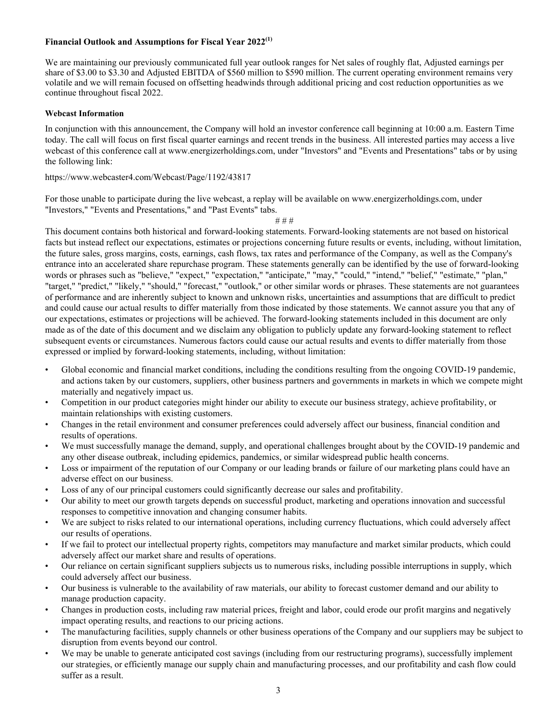#### **Financial Outlook and Assumptions for Fiscal Year 2022(1)**

We are maintaining our previously communicated full year outlook ranges for Net sales of roughly flat. Adjusted earnings per share of \$3.00 to \$3.30 and Adjusted EBITDA of \$560 million to \$590 million. The current operating environment remains very volatile and we will remain focused on offsetting headwinds through additional pricing and cost reduction opportunities as we continue throughout fiscal 2022.

#### **Webcast Information**

In conjunction with this announcement, the Company will hold an investor conference call beginning at 10:00 a.m. Eastern Time today. The call will focus on first fiscal quarter earnings and recent trends in the business. All interested parties may access a live webcast of this conference call at www.energizerholdings.com, under "Investors" and "Events and Presentations" tabs or by using the following link:

https://www.webcaster4.com/Webcast/Page/1192/43817

For those unable to participate during the live webcast, a replay will be available on www.energizerholdings.com, under "Investors," "Events and Presentations," and "Past Events" tabs.

# # #

This document contains both historical and forward-looking statements. Forward-looking statements are not based on historical facts but instead reflect our expectations, estimates or projections concerning future results or events, including, without limitation, the future sales, gross margins, costs, earnings, cash flows, tax rates and performance of the Company, as well as the Company's entrance into an accelerated share repurchase program. These statements generally can be identified by the use of forward-looking words or phrases such as "believe," "expect," "expectation," "anticipate," "may," "could," "intend," "belief," "estimate," "plan," "target," "predict," "likely," "should," "forecast," "outlook," or other similar words or phrases. These statements are not guarantees of performance and are inherently subject to known and unknown risks, uncertainties and assumptions that are difficult to predict and could cause our actual results to differ materially from those indicated by those statements. We cannot assure you that any of our expectations, estimates or projections will be achieved. The forward-looking statements included in this document are only made as of the date of this document and we disclaim any obligation to publicly update any forward-looking statement to reflect subsequent events or circumstances. Numerous factors could cause our actual results and events to differ materially from those expressed or implied by forward-looking statements, including, without limitation:

- Global economic and financial market conditions, including the conditions resulting from the ongoing COVID-19 pandemic, and actions taken by our customers, suppliers, other business partners and governments in markets in which we compete might materially and negatively impact us.
- Competition in our product categories might hinder our ability to execute our business strategy, achieve profitability, or maintain relationships with existing customers.
- Changes in the retail environment and consumer preferences could adversely affect our business, financial condition and results of operations.
- We must successfully manage the demand, supply, and operational challenges brought about by the COVID-19 pandemic and any other disease outbreak, including epidemics, pandemics, or similar widespread public health concerns.
- Loss or impairment of the reputation of our Company or our leading brands or failure of our marketing plans could have an adverse effect on our business.
- Loss of any of our principal customers could significantly decrease our sales and profitability.
- Our ability to meet our growth targets depends on successful product, marketing and operations innovation and successful responses to competitive innovation and changing consumer habits.
- We are subject to risks related to our international operations, including currency fluctuations, which could adversely affect our results of operations.
- If we fail to protect our intellectual property rights, competitors may manufacture and market similar products, which could adversely affect our market share and results of operations.
- Our reliance on certain significant suppliers subjects us to numerous risks, including possible interruptions in supply, which could adversely affect our business.
- Our business is vulnerable to the availability of raw materials, our ability to forecast customer demand and our ability to manage production capacity.
- Changes in production costs, including raw material prices, freight and labor, could erode our profit margins and negatively impact operating results, and reactions to our pricing actions.
- The manufacturing facilities, supply channels or other business operations of the Company and our suppliers may be subject to disruption from events beyond our control.
- We may be unable to generate anticipated cost savings (including from our restructuring programs), successfully implement our strategies, or efficiently manage our supply chain and manufacturing processes, and our profitability and cash flow could suffer as a result.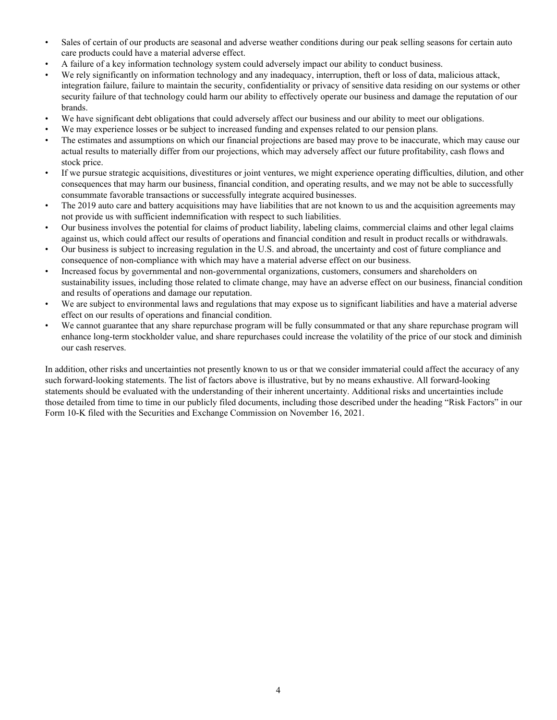- Sales of certain of our products are seasonal and adverse weather conditions during our peak selling seasons for certain auto care products could have a material adverse effect.
- A failure of a key information technology system could adversely impact our ability to conduct business.
- We rely significantly on information technology and any inadequacy, interruption, theft or loss of data, malicious attack, integration failure, failure to maintain the security, confidentiality or privacy of sensitive data residing on our systems or other security failure of that technology could harm our ability to effectively operate our business and damage the reputation of our brands.
- We have significant debt obligations that could adversely affect our business and our ability to meet our obligations.
- We may experience losses or be subject to increased funding and expenses related to our pension plans.
- The estimates and assumptions on which our financial projections are based may prove to be inaccurate, which may cause our actual results to materially differ from our projections, which may adversely affect our future profitability, cash flows and stock price.
- If we pursue strategic acquisitions, divestitures or joint ventures, we might experience operating difficulties, dilution, and other consequences that may harm our business, financial condition, and operating results, and we may not be able to successfully consummate favorable transactions or successfully integrate acquired businesses.
- The 2019 auto care and battery acquisitions may have liabilities that are not known to us and the acquisition agreements may not provide us with sufficient indemnification with respect to such liabilities.
- Our business involves the potential for claims of product liability, labeling claims, commercial claims and other legal claims against us, which could affect our results of operations and financial condition and result in product recalls or withdrawals.
- Our business is subject to increasing regulation in the U.S. and abroad, the uncertainty and cost of future compliance and consequence of non-compliance with which may have a material adverse effect on our business.
- Increased focus by governmental and non-governmental organizations, customers, consumers and shareholders on sustainability issues, including those related to climate change, may have an adverse effect on our business, financial condition and results of operations and damage our reputation.
- We are subject to environmental laws and regulations that may expose us to significant liabilities and have a material adverse effect on our results of operations and financial condition.
- We cannot guarantee that any share repurchase program will be fully consummated or that any share repurchase program will enhance long-term stockholder value, and share repurchases could increase the volatility of the price of our stock and diminish our cash reserves.

In addition, other risks and uncertainties not presently known to us or that we consider immaterial could affect the accuracy of any such forward-looking statements. The list of factors above is illustrative, but by no means exhaustive. All forward-looking statements should be evaluated with the understanding of their inherent uncertainty. Additional risks and uncertainties include those detailed from time to time in our publicly filed documents, including those described under the heading "Risk Factors" in our Form 10-K filed with the Securities and Exchange Commission on November 16, 2021.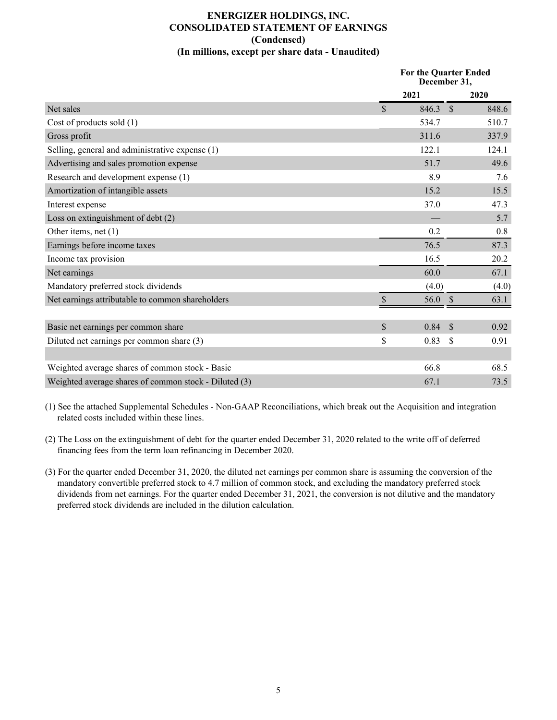# **ENERGIZER HOLDINGS, INC. CONSOLIDATED STATEMENT OF EARNINGS (Condensed) (In millions, except per share data - Unaudited)**

|                                                       |              | <b>For the Quarter Ended</b><br>December 31, |       |  |
|-------------------------------------------------------|--------------|----------------------------------------------|-------|--|
|                                                       | 2021         |                                              | 2020  |  |
| Net sales                                             | $\mathbb{S}$ | 846.3<br>$\mathcal{S}$                       | 848.6 |  |
| Cost of products sold (1)                             |              | 534.7                                        | 510.7 |  |
| Gross profit                                          |              | 311.6                                        | 337.9 |  |
| Selling, general and administrative expense (1)       |              | 122.1                                        | 124.1 |  |
| Advertising and sales promotion expense               |              | 51.7                                         | 49.6  |  |
| Research and development expense (1)                  |              | 8.9                                          | 7.6   |  |
| Amortization of intangible assets                     |              | 15.2                                         | 15.5  |  |
| Interest expense                                      |              | 37.0                                         | 47.3  |  |
| Loss on extinguishment of debt (2)                    |              |                                              | 5.7   |  |
| Other items, net $(1)$                                |              | 0.2                                          | 0.8   |  |
| Earnings before income taxes                          |              | 76.5                                         | 87.3  |  |
| Income tax provision                                  |              | 16.5                                         | 20.2  |  |
| Net earnings                                          |              | 60.0                                         | 67.1  |  |
| Mandatory preferred stock dividends                   |              | (4.0)                                        | (4.0) |  |
| Net earnings attributable to common shareholders      | $\mathbb{S}$ | 56.0<br><sup>S</sup>                         | 63.1  |  |
|                                                       |              |                                              |       |  |
| Basic net earnings per common share                   | \$           | 0.84<br>$\mathcal{S}$                        | 0.92  |  |
| Diluted net earnings per common share (3)             | \$           | \$<br>0.83                                   | 0.91  |  |
|                                                       |              |                                              |       |  |
| Weighted average shares of common stock - Basic       |              | 66.8                                         | 68.5  |  |
| Weighted average shares of common stock - Diluted (3) |              | 67.1                                         | 73.5  |  |

(1) See the attached Supplemental Schedules - Non-GAAP Reconciliations, which break out the Acquisition and integration related costs included within these lines.

- (2) The Loss on the extinguishment of debt for the quarter ended December 31, 2020 related to the write off of deferred financing fees from the term loan refinancing in December 2020.
- (3) For the quarter ended December 31, 2020, the diluted net earnings per common share is assuming the conversion of the mandatory convertible preferred stock to 4.7 million of common stock, and excluding the mandatory preferred stock dividends from net earnings. For the quarter ended December 31, 2021, the conversion is not dilutive and the mandatory preferred stock dividends are included in the dilution calculation.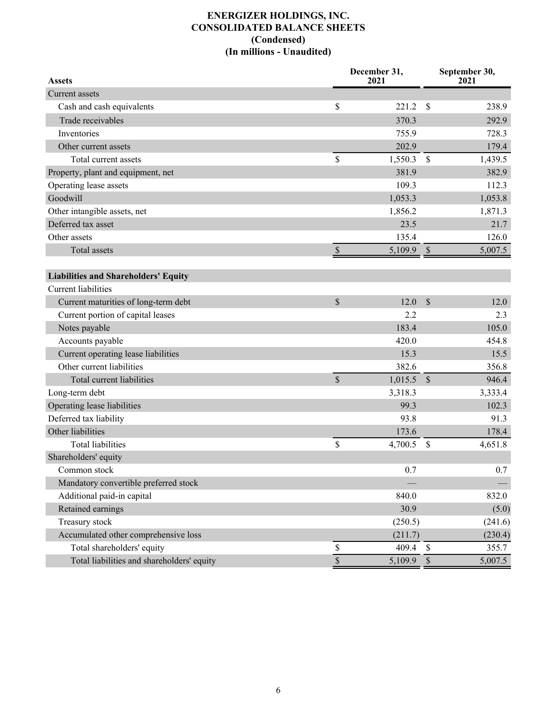# **ENERGIZER HOLDINGS, INC. CONSOLIDATED BALANCE SHEETS (Condensed) (In millions - Unaudited)**

| <b>Assets</b>                               |               | December 31,<br>2021 | September 30,<br>2021 |         |
|---------------------------------------------|---------------|----------------------|-----------------------|---------|
| Current assets                              |               |                      |                       |         |
| Cash and cash equivalents                   | \$            | 221.2                | S                     | 238.9   |
| Trade receivables                           |               | 370.3                |                       | 292.9   |
| Inventories                                 |               | 755.9                |                       | 728.3   |
| Other current assets                        |               | 202.9                |                       | 179.4   |
| Total current assets                        | \$            | 1,550.3              | $\mathsf{\$}$         | 1,439.5 |
| Property, plant and equipment, net          |               | 381.9                |                       | 382.9   |
| Operating lease assets                      |               | 109.3                |                       | 112.3   |
| Goodwill                                    |               | 1,053.3              |                       | 1,053.8 |
| Other intangible assets, net                |               | 1,856.2              |                       | 1,871.3 |
| Deferred tax asset                          |               | 23.5                 |                       | 21.7    |
| Other assets                                |               | 135.4                |                       | 126.0   |
| Total assets                                | $\mathbb{S}$  | 5,109.9              | $\mathcal{S}$         | 5,007.5 |
|                                             |               |                      |                       |         |
| <b>Liabilities and Shareholders' Equity</b> |               |                      |                       |         |
| <b>Current liabilities</b>                  |               |                      |                       |         |
| Current maturities of long-term debt        | $\mathbb{S}$  | 12.0                 | $\mathcal{S}$         | 12.0    |
| Current portion of capital leases           |               | 2.2                  |                       | 2.3     |
| Notes payable                               |               | 183.4                |                       | 105.0   |
| Accounts payable                            |               | 420.0                |                       | 454.8   |
| Current operating lease liabilities         |               | 15.3                 |                       | 15.5    |
| Other current liabilities                   |               | 382.6                |                       | 356.8   |
| Total current liabilities                   | $\mathsf{\$}$ | 1,015.5              | $\mathcal{S}$         | 946.4   |
| Long-term debt                              |               | 3,318.3              |                       | 3,333.4 |
| Operating lease liabilities                 |               | 99.3                 |                       | 102.3   |
| Deferred tax liability                      |               | 93.8                 |                       | 91.3    |
| Other liabilities                           |               | 173.6                |                       | 178.4   |
| <b>Total liabilities</b>                    | \$            | 4,700.5              | \$                    | 4,651.8 |
| Shareholders' equity                        |               |                      |                       |         |
| Common stock                                |               | 0.7                  |                       | 0.7     |
| Mandatory convertible preferred stock       |               |                      |                       |         |
| Additional paid-in capital                  |               | 840.0                |                       | 832.0   |
| Retained earnings                           |               | 30.9                 |                       | (5.0)   |
| Treasury stock                              |               | (250.5)              |                       | (241.6) |
| Accumulated other comprehensive loss        |               | (211.7)              |                       | (230.4) |
| Total shareholders' equity                  | \$            | 409.4                | $\mathcal{S}$         | 355.7   |
| Total liabilities and shareholders' equity  | $\mathbb S$   | 5,109.9              | $\mathcal{S}$         | 5,007.5 |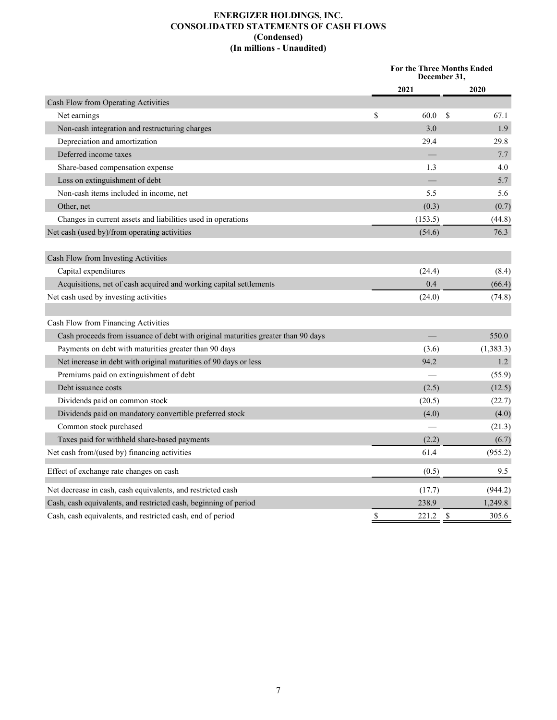## **ENERGIZER HOLDINGS, INC. CONSOLIDATED STATEMENTS OF CASH FLOWS (Condensed) (In millions - Unaudited)**

|                                                                                   | For the Three Months Ended<br>December 31, |         |    |           |
|-----------------------------------------------------------------------------------|--------------------------------------------|---------|----|-----------|
|                                                                                   |                                            | 2021    |    | 2020      |
| Cash Flow from Operating Activities                                               |                                            |         |    |           |
| Net earnings                                                                      | \$                                         | 60.0    | \$ | 67.1      |
| Non-cash integration and restructuring charges                                    |                                            | 3.0     |    | 1.9       |
| Depreciation and amortization                                                     |                                            | 29.4    |    | 29.8      |
| Deferred income taxes                                                             |                                            |         |    | 7.7       |
| Share-based compensation expense                                                  |                                            | 1.3     |    | 4.0       |
| Loss on extinguishment of debt                                                    |                                            |         |    | 5.7       |
| Non-cash items included in income, net                                            |                                            | 5.5     |    | 5.6       |
| Other, net                                                                        |                                            | (0.3)   |    | (0.7)     |
| Changes in current assets and liabilities used in operations                      |                                            | (153.5) |    | (44.8)    |
| Net cash (used by)/from operating activities                                      |                                            | (54.6)  |    | 76.3      |
| Cash Flow from Investing Activities                                               |                                            |         |    |           |
| Capital expenditures                                                              |                                            | (24.4)  |    | (8.4)     |
| Acquisitions, net of cash acquired and working capital settlements                |                                            | 0.4     |    | (66.4)    |
| Net cash used by investing activities                                             |                                            | (24.0)  |    | (74.8)    |
| Cash Flow from Financing Activities                                               |                                            |         |    |           |
| Cash proceeds from issuance of debt with original maturities greater than 90 days |                                            |         |    | 550.0     |
| Payments on debt with maturities greater than 90 days                             |                                            | (3.6)   |    | (1,383.3) |
| Net increase in debt with original maturities of 90 days or less                  |                                            | 94.2    |    | 1.2       |
| Premiums paid on extinguishment of debt                                           |                                            |         |    | (55.9)    |
| Debt issuance costs                                                               |                                            | (2.5)   |    | (12.5)    |
| Dividends paid on common stock                                                    |                                            | (20.5)  |    | (22.7)    |
| Dividends paid on mandatory convertible preferred stock                           |                                            | (4.0)   |    | (4.0)     |
| Common stock purchased                                                            |                                            |         |    | (21.3)    |
| Taxes paid for withheld share-based payments                                      |                                            | (2.2)   |    | (6.7)     |
| Net cash from/(used by) financing activities                                      |                                            | 61.4    |    | (955.2)   |
| Effect of exchange rate changes on cash                                           |                                            | (0.5)   |    | 9.5       |
| Net decrease in cash, cash equivalents, and restricted cash                       |                                            | (17.7)  |    | (944.2)   |
| Cash, cash equivalents, and restricted cash, beginning of period                  |                                            | 238.9   |    | 1,249.8   |
| Cash, cash equivalents, and restricted cash, end of period                        | \$                                         | 221.2   | \$ | 305.6     |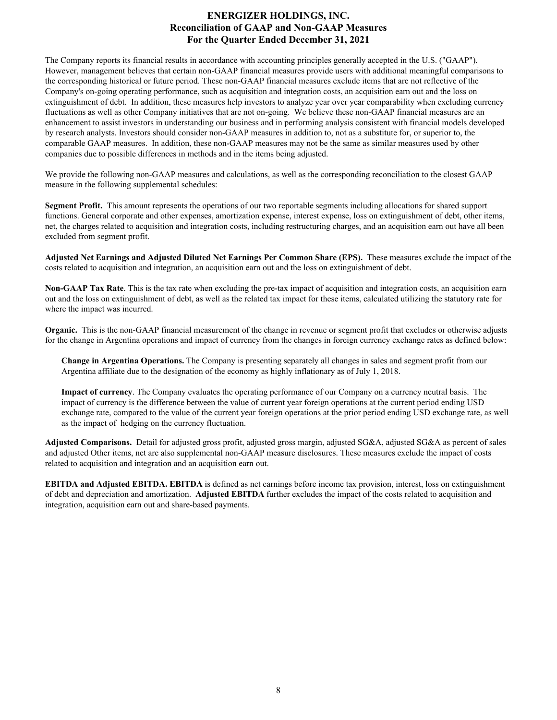# **ENERGIZER HOLDINGS, INC. Reconciliation of GAAP and Non-GAAP Measures For the Quarter Ended December 31, 2021**

The Company reports its financial results in accordance with accounting principles generally accepted in the U.S. ("GAAP"). However, management believes that certain non-GAAP financial measures provide users with additional meaningful comparisons to the corresponding historical or future period. These non-GAAP financial measures exclude items that are not reflective of the Company's on-going operating performance, such as acquisition and integration costs, an acquisition earn out and the loss on extinguishment of debt. In addition, these measures help investors to analyze year over year comparability when excluding currency fluctuations as well as other Company initiatives that are not on-going. We believe these non-GAAP financial measures are an enhancement to assist investors in understanding our business and in performing analysis consistent with financial models developed by research analysts. Investors should consider non-GAAP measures in addition to, not as a substitute for, or superior to, the comparable GAAP measures. In addition, these non-GAAP measures may not be the same as similar measures used by other companies due to possible differences in methods and in the items being adjusted.

We provide the following non-GAAP measures and calculations, as well as the corresponding reconciliation to the closest GAAP measure in the following supplemental schedules:

**Segment Profit.** This amount represents the operations of our two reportable segments including allocations for shared support functions. General corporate and other expenses, amortization expense, interest expense, loss on extinguishment of debt, other items, net, the charges related to acquisition and integration costs, including restructuring charges, and an acquisition earn out have all been excluded from segment profit.

**Adjusted Net Earnings and Adjusted Diluted Net Earnings Per Common Share (EPS).** These measures exclude the impact of the costs related to acquisition and integration, an acquisition earn out and the loss on extinguishment of debt.

**Non-GAAP Tax Rate**. This is the tax rate when excluding the pre-tax impact of acquisition and integration costs, an acquisition earn out and the loss on extinguishment of debt, as well as the related tax impact for these items, calculated utilizing the statutory rate for where the impact was incurred.

**Organic.** This is the non-GAAP financial measurement of the change in revenue or segment profit that excludes or otherwise adjusts for the change in Argentina operations and impact of currency from the changes in foreign currency exchange rates as defined below:

**Change in Argentina Operations.** The Company is presenting separately all changes in sales and segment profit from our Argentina affiliate due to the designation of the economy as highly inflationary as of July 1, 2018.

**Impact of currency**. The Company evaluates the operating performance of our Company on a currency neutral basis. The impact of currency is the difference between the value of current year foreign operations at the current period ending USD exchange rate, compared to the value of the current year foreign operations at the prior period ending USD exchange rate, as well as the impact of hedging on the currency fluctuation.

**Adjusted Comparisons.** Detail for adjusted gross profit, adjusted gross margin, adjusted SG&A, adjusted SG&A as percent of sales and adjusted Other items, net are also supplemental non-GAAP measure disclosures. These measures exclude the impact of costs related to acquisition and integration and an acquisition earn out.

**EBITDA and Adjusted EBITDA. EBITDA** is defined as net earnings before income tax provision, interest, loss on extinguishment of debt and depreciation and amortization. **Adjusted EBITDA** further excludes the impact of the costs related to acquisition and integration, acquisition earn out and share-based payments.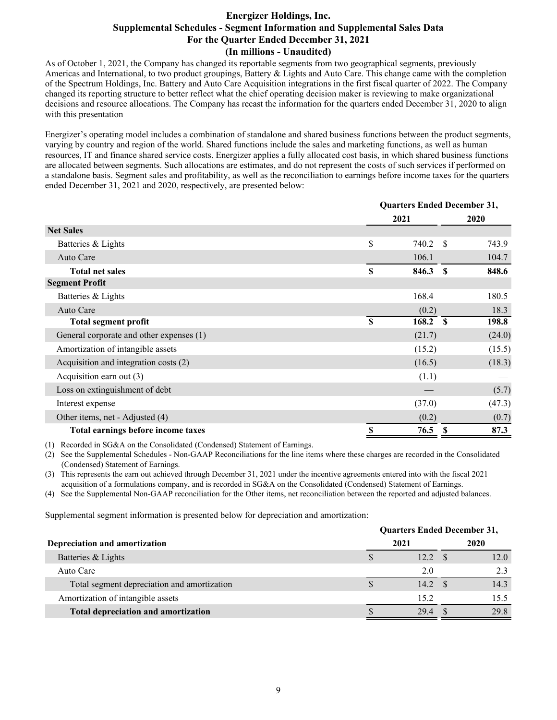## **Energizer Holdings, Inc. Supplemental Schedules - Segment Information and Supplemental Sales Data For the Quarter Ended December 31, 2021 (In millions - Unaudited)**

As of October 1, 2021, the Company has changed its reportable segments from two geographical segments, previously Americas and International, to two product groupings, Battery & Lights and Auto Care. This change came with the completion of the Spectrum Holdings, Inc. Battery and Auto Care Acquisition integrations in the first fiscal quarter of 2022. The Company changed its reporting structure to better reflect what the chief operating decision maker is reviewing to make organizational decisions and resource allocations. The Company has recast the information for the quarters ended December 31, 2020 to align with this presentation

Energizer's operating model includes a combination of standalone and shared business functions between the product segments, varying by country and region of the world. Shared functions include the sales and marketing functions, as well as human resources, IT and finance shared service costs. Energizer applies a fully allocated cost basis, in which shared business functions are allocated between segments. Such allocations are estimates, and do not represent the costs of such services if performed on a standalone basis. Segment sales and profitability, as well as the reconciliation to earnings before income taxes for the quarters ended December 31, 2021 and 2020, respectively, are presented below:

|                                          |             | <b>Quarters Ended December 31,</b> |              |        |  |
|------------------------------------------|-------------|------------------------------------|--------------|--------|--|
|                                          |             | 2021                               |              | 2020   |  |
| <b>Net Sales</b>                         |             |                                    |              |        |  |
| Batteries & Lights                       | \$          | 740.2                              | - S          | 743.9  |  |
| Auto Care                                |             | 106.1                              |              | 104.7  |  |
| <b>Total net sales</b>                   | \$          | 846.3                              | $\mathbf{s}$ | 848.6  |  |
| <b>Segment Profit</b>                    |             |                                    |              |        |  |
| Batteries & Lights                       |             | 168.4                              |              | 180.5  |  |
| Auto Care                                |             | (0.2)                              |              | 18.3   |  |
| <b>Total segment profit</b>              | $\mathbf S$ | 168.2                              | <b>S</b>     | 198.8  |  |
| General corporate and other expenses (1) |             | (21.7)                             |              | (24.0) |  |
| Amortization of intangible assets        |             | (15.2)                             |              | (15.5) |  |
| Acquisition and integration costs (2)    |             | (16.5)                             |              | (18.3) |  |
| Acquisition earn out (3)                 |             | (1.1)                              |              |        |  |
| Loss on extinguishment of debt           |             |                                    |              | (5.7)  |  |
| Interest expense                         |             | (37.0)                             |              | (47.3) |  |
| Other items, net - Adjusted (4)          |             | (0.2)                              |              | (0.7)  |  |
| Total earnings before income taxes       |             | 76.5                               |              | 87.3   |  |

(1) Recorded in SG&A on the Consolidated (Condensed) Statement of Earnings.

(2) See the Supplemental Schedules - Non-GAAP Reconciliations for the line items where these charges are recorded in the Consolidated (Condensed) Statement of Earnings.

(3) This represents the earn out achieved through December 31, 2021 under the incentive agreements entered into with the fiscal 2021 acquisition of a formulations company, and is recorded in SG&A on the Consolidated (Condensed) Statement of Earnings.

(4) See the Supplemental Non-GAAP reconciliation for the Other items, net reconciliation between the reported and adjusted balances.

Supplemental segment information is presented below for depreciation and amortization:

| <b>Quarters Ended December 31,</b> |      |      |                                      |  |
|------------------------------------|------|------|--------------------------------------|--|
|                                    |      |      | 2020                                 |  |
|                                    |      |      | 12.0                                 |  |
|                                    | 2.0  |      |                                      |  |
|                                    |      |      | 14.3                                 |  |
|                                    | 15.2 |      | 15.5                                 |  |
|                                    | 294  |      | 29.8                                 |  |
|                                    |      | 2021 | 12.2 <sup>5</sup><br>$14.2 \quad$ \$ |  |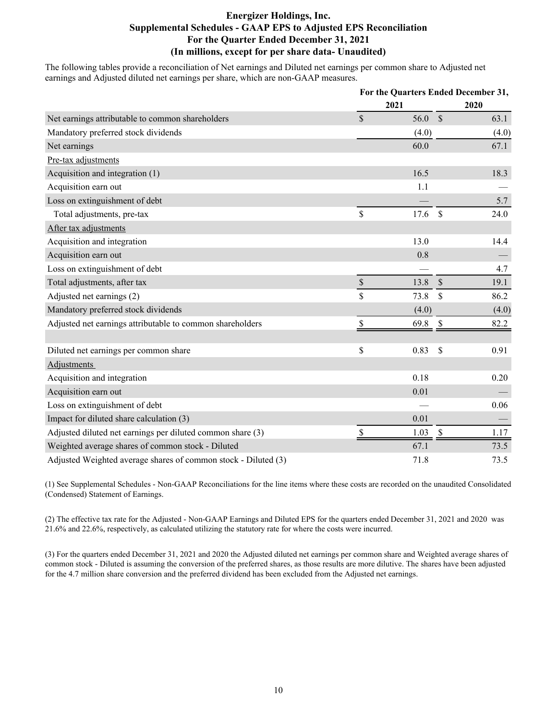# **Energizer Holdings, Inc. Supplemental Schedules - GAAP EPS to Adjusted EPS Reconciliation For the Quarter Ended December 31, 2021 (In millions, except for per share data- Unaudited)**

The following tables provide a reconciliation of Net earnings and Diluted net earnings per common share to Adjusted net earnings and Adjusted diluted net earnings per share, which are non-GAAP measures.

|                                                                | For the Quarters Ended December 31, |       |               |       |
|----------------------------------------------------------------|-------------------------------------|-------|---------------|-------|
|                                                                |                                     | 2021  |               | 2020  |
| Net earnings attributable to common shareholders               | $\mathcal{S}$                       | 56.0  | $\mathcal{S}$ | 63.1  |
| Mandatory preferred stock dividends                            |                                     | (4.0) |               | (4.0) |
| Net earnings                                                   |                                     | 60.0  |               | 67.1  |
| Pre-tax adjustments                                            |                                     |       |               |       |
| Acquisition and integration (1)                                |                                     | 16.5  |               | 18.3  |
| Acquisition earn out                                           |                                     | 1.1   |               |       |
| Loss on extinguishment of debt                                 |                                     |       |               | 5.7   |
| Total adjustments, pre-tax                                     | \$                                  | 17.6  | $\mathcal{S}$ | 24.0  |
| After tax adjustments                                          |                                     |       |               |       |
| Acquisition and integration                                    |                                     | 13.0  |               | 14.4  |
| Acquisition earn out                                           |                                     | 0.8   |               |       |
| Loss on extinguishment of debt                                 |                                     |       |               | 4.7   |
| Total adjustments, after tax                                   | $\mathbb{S}$                        | 13.8  | $\mathcal{S}$ | 19.1  |
| Adjusted net earnings (2)                                      | $\mathsf{\$}$                       | 73.8  | \$            | 86.2  |
| Mandatory preferred stock dividends                            |                                     | (4.0) |               | (4.0) |
| Adjusted net earnings attributable to common shareholders      | \$                                  | 69.8  | $\mathcal{S}$ | 82.2  |
|                                                                |                                     |       |               |       |
| Diluted net earnings per common share                          | \$                                  | 0.83  | $\mathcal{S}$ | 0.91  |
| <b>Adjustments</b>                                             |                                     |       |               |       |
| Acquisition and integration                                    |                                     | 0.18  |               | 0.20  |
| Acquisition earn out                                           |                                     | 0.01  |               |       |
| Loss on extinguishment of debt                                 |                                     |       |               | 0.06  |
| Impact for diluted share calculation (3)                       |                                     | 0.01  |               |       |
| Adjusted diluted net earnings per diluted common share (3)     | S                                   | 1.03  | $\mathbb{S}$  | 1.17  |
| Weighted average shares of common stock - Diluted              |                                     | 67.1  |               | 73.5  |
| Adjusted Weighted average shares of common stock - Diluted (3) |                                     | 71.8  |               | 73.5  |

(1) See Supplemental Schedules - Non-GAAP Reconciliations for the line items where these costs are recorded on the unaudited Consolidated (Condensed) Statement of Earnings.

(2) The effective tax rate for the Adjusted - Non-GAAP Earnings and Diluted EPS for the quarters ended December 31, 2021 and 2020 was 21.6% and 22.6%, respectively, as calculated utilizing the statutory rate for where the costs were incurred.

(3) For the quarters ended December 31, 2021 and 2020 the Adjusted diluted net earnings per common share and Weighted average shares of common stock - Diluted is assuming the conversion of the preferred shares, as those results are more dilutive. The shares have been adjusted for the 4.7 million share conversion and the preferred dividend has been excluded from the Adjusted net earnings.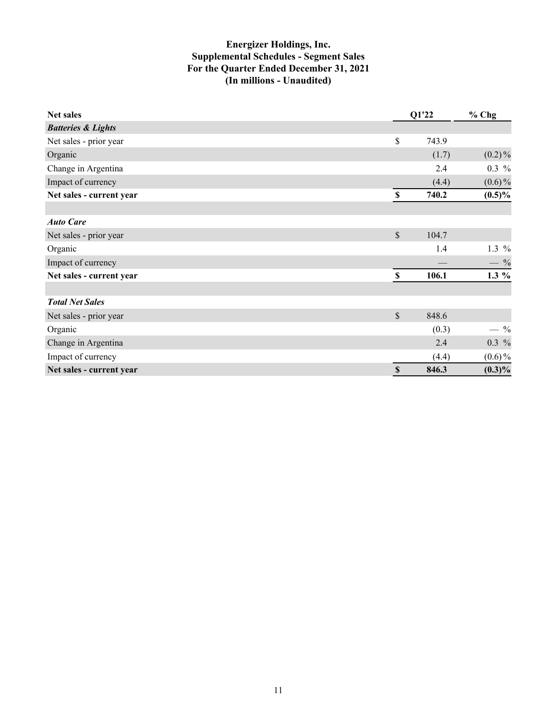# **Energizer Holdings, Inc. Supplemental Schedules - Segment Sales For the Quarter Ended December 31, 2021 (In millions - Unaudited)**

| <b>Net sales</b>              |              | Q1'22 | $%$ Chg   |
|-------------------------------|--------------|-------|-----------|
| <b>Batteries &amp; Lights</b> |              |       |           |
| Net sales - prior year        | \$           | 743.9 |           |
| Organic                       |              | (1.7) | $(0.2)\%$ |
| Change in Argentina           |              | 2.4   | $0.3\%$   |
| Impact of currency            |              | (4.4) | $(0.6)\%$ |
| Net sales - current year      | $\mathbb S$  | 740.2 | $(0.5)\%$ |
|                               |              |       |           |
| <b>Auto Care</b>              |              |       |           |
| Net sales - prior year        | \$           | 104.7 |           |
| Organic                       |              | 1.4   | 1.3 $%$   |
| Impact of currency            |              |       | $-$ %     |
| Net sales - current year      | $\mathbf S$  | 106.1 | $1.3\%$   |
| <b>Total Net Sales</b>        |              |       |           |
| Net sales - prior year        | $\mathbb S$  | 848.6 |           |
| Organic                       |              | (0.3) | $-9/0$    |
| Change in Argentina           |              | 2.4   | $0.3\%$   |
| Impact of currency            |              | (4.4) | $(0.6)\%$ |
| Net sales - current year      | $\mathbb{S}$ | 846.3 | $(0.3)\%$ |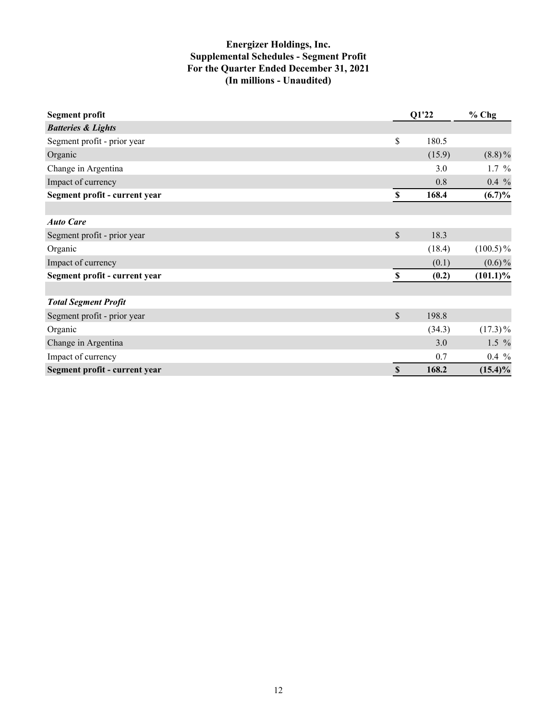# **Energizer Holdings, Inc. Supplemental Schedules - Segment Profit For the Quarter Ended December 31, 2021 (In millions - Unaudited)**

| <b>Segment profit</b>         |                           | Q1'22  | $%$ Chg     |
|-------------------------------|---------------------------|--------|-------------|
| <b>Batteries &amp; Lights</b> |                           |        |             |
| Segment profit - prior year   | \$                        | 180.5  |             |
| Organic                       |                           | (15.9) | $(8.8)\%$   |
| Change in Argentina           |                           | 3.0    | $1.7\%$     |
| Impact of currency            |                           | 0.8    | $0.4\%$     |
| Segment profit - current year | $\boldsymbol{\mathsf{S}}$ | 168.4  | (6.7)%      |
|                               |                           |        |             |
| <b>Auto Care</b>              |                           |        |             |
| Segment profit - prior year   | \$                        | 18.3   |             |
| Organic                       |                           | (18.4) | $(100.5)\%$ |
| Impact of currency            |                           | (0.1)  | $(0.6)\%$   |
| Segment profit - current year | \$                        | (0.2)  | $(101.1)\%$ |
|                               |                           |        |             |
| <b>Total Segment Profit</b>   |                           |        |             |
| Segment profit - prior year   | \$                        | 198.8  |             |
| Organic                       |                           | (34.3) | $(17.3)\%$  |
| Change in Argentina           |                           | 3.0    | $1.5\%$     |
| Impact of currency            |                           | 0.7    | $0.4\%$     |
| Segment profit - current year | $\mathbb{S}$              | 168.2  | $(15.4)\%$  |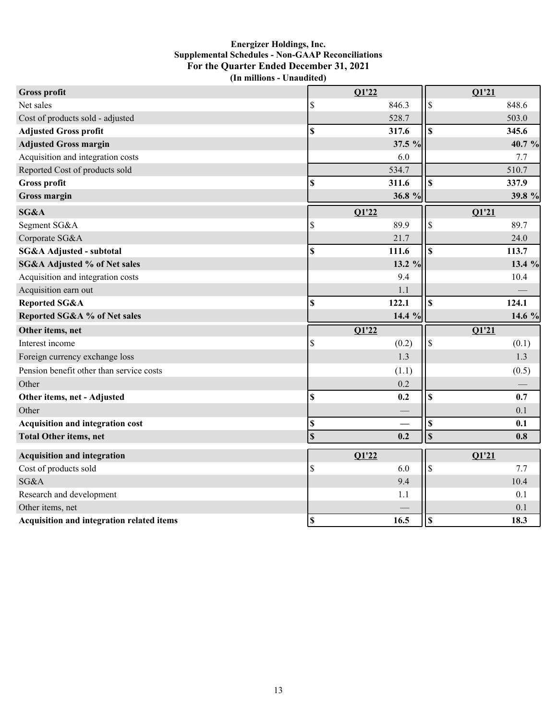## **Energizer Holdings, Inc. Supplemental Schedules - Non-GAAP Reconciliations For the Quarter Ended December 31, 2021 (In millions - Unaudited)**

| <b>Gross profit</b>                              | Q1'22                     |          | Q1'21                   |          |
|--------------------------------------------------|---------------------------|----------|-------------------------|----------|
| Net sales                                        | \$                        | 846.3    | \$                      | 848.6    |
| Cost of products sold - adjusted                 |                           | 528.7    |                         | 503.0    |
| <b>Adjusted Gross profit</b>                     | \$                        | 317.6    | \$                      | 345.6    |
| <b>Adjusted Gross margin</b>                     |                           | 37.5 %   |                         | 40.7 %   |
| Acquisition and integration costs                |                           | 6.0      |                         | 7.7      |
| Reported Cost of products sold                   |                           | 534.7    |                         | 510.7    |
| <b>Gross profit</b>                              | \$                        | 311.6    | $\mathbf S$             | 337.9    |
| <b>Gross margin</b>                              |                           | 36.8 %   |                         | 39.8 %   |
| SG&A                                             | Q1'22                     |          | Q1'21                   |          |
| Segment SG&A                                     | \$                        | 89.9     | \$                      | 89.7     |
| Corporate SG&A                                   |                           | 21.7     |                         | 24.0     |
| SG&A Adjusted - subtotal                         | \$                        | 111.6    | \$                      | 113.7    |
| <b>SG&amp;A Adjusted % of Net sales</b>          |                           | 13.2 %   |                         | 13.4 $%$ |
| Acquisition and integration costs                |                           | 9.4      |                         | 10.4     |
| Acquisition earn out                             |                           | 1.1      |                         |          |
| Reported SG&A                                    | \$                        | 122.1    | $\mathbf S$             | 124.1    |
| Reported SG&A % of Net sales                     |                           | 14.4 $%$ |                         | 14.6 %   |
| Other items, net                                 | $\overline{O1'22}$        |          | Q1'21                   |          |
| Interest income                                  | \$                        | (0.2)    | \$                      | (0.1)    |
| Foreign currency exchange loss                   |                           | 1.3      |                         | 1.3      |
| Pension benefit other than service costs         |                           | (1.1)    |                         | (0.5)    |
| Other                                            |                           | 0.2      |                         |          |
| Other items, net - Adjusted                      | \$                        | 0.2      | $\mathbf S$             | 0.7      |
| Other                                            |                           |          |                         | 0.1      |
| <b>Acquisition and integration cost</b>          | $\mathbb{S}$              |          | $\mathbb{S}$            | 0.1      |
| <b>Total Other items, net</b>                    | $\mathbf S$               | 0.2      | $\overline{\mathbf{s}}$ | 0.8      |
| <b>Acquisition and integration</b>               | Q1'22                     |          | Q1'21                   |          |
| Cost of products sold                            | \$                        | 6.0      | \$                      | 7.7      |
| SG&A                                             |                           | 9.4      |                         | 10.4     |
| Research and development                         |                           | 1.1      |                         | 0.1      |
| Other items, net                                 |                           |          |                         | 0.1      |
| <b>Acquisition and integration related items</b> | $\boldsymbol{\mathsf{S}}$ | 16.5     | l\$                     | 18.3     |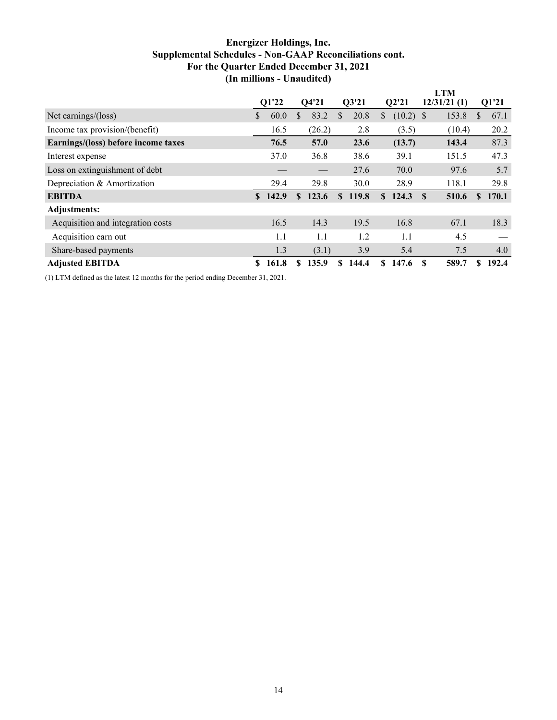# **Energizer Holdings, Inc. Supplemental Schedules - Non-GAAP Reconciliations cont. For the Quarter Ended December 31, 2021 (In millions - Unaudited)**

|                                     |    |       |               |        | <b>LTM</b>    |       |    |             |          |             |              |       |
|-------------------------------------|----|-------|---------------|--------|---------------|-------|----|-------------|----------|-------------|--------------|-------|
|                                     |    | Q1'22 |               | Q4'21  |               | Q3'21 |    | Q2'21       |          | 12/31/21(1) |              | Q1'21 |
| Net earnings/(loss)                 | \$ | 60.0  | S             | 83.2   | S             | 20.8  | \$ | $(10.2)$ \$ |          | 153.8       | S            | 67.1  |
| Income tax provision/(benefit)      |    | 16.5  |               | (26.2) |               | 2.8   |    | (3.5)       |          | (10.4)      |              | 20.2  |
| Earnings/(loss) before income taxes |    | 76.5  |               | 57.0   |               | 23.6  |    | (13.7)      |          | 143.4       |              | 87.3  |
| Interest expense                    |    | 37.0  |               | 36.8   |               | 38.6  |    | 39.1        |          | 151.5       |              | 47.3  |
| Loss on extinguishment of debt      |    |       |               |        |               | 27.6  |    | 70.0        |          | 97.6        |              | 5.7   |
| Depreciation & Amortization         |    | 29.4  |               | 29.8   |               | 30.0  |    | 28.9        |          | 118.1       |              | 29.8  |
| <b>EBITDA</b>                       | S. | 142.9 | <sup>\$</sup> | 123.6  | <sup>\$</sup> | 119.8 |    | \$124.3     | <b>S</b> | 510.6       | $\mathbf{s}$ | 170.1 |
| Adjustments:                        |    |       |               |        |               |       |    |             |          |             |              |       |
| Acquisition and integration costs   |    | 16.5  |               | 14.3   |               | 19.5  |    | 16.8        |          | 67.1        |              | 18.3  |
| Acquisition earn out                |    | 1.1   |               | 1.1    |               | 1.2   |    | 1.1         |          | 4.5         |              |       |
| Share-based payments                |    | 1.3   |               | (3.1)  |               | 3.9   |    | 5.4         |          | 7.5         |              | 4.0   |
| <b>Adjusted EBITDA</b>              | S. | 161.8 | \$            | 135.9  | S             | 144.4 | S. | 147.6       | \$.      | 589.7       | \$           | 192.4 |

(1) LTM defined as the latest 12 months for the period ending December 31, 2021.